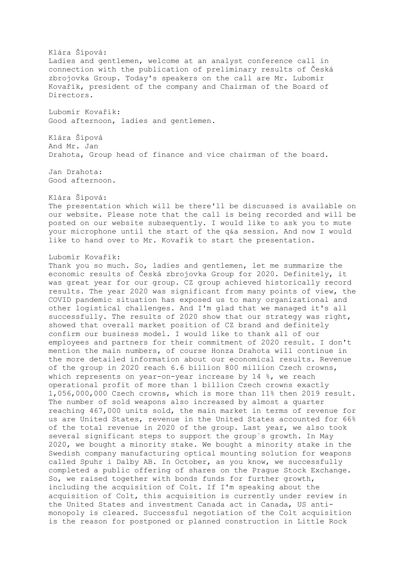Klára Šípová: Ladies and gentlemen, welcome at an analyst conference call in connection with the publication of preliminary results of Česká zbrojovka Group. Today's speakers on the call are Mr. Lubomir Kovařík, president of the company and Chairman of the Board of Directors. Lubomír Kovařík: Good afternoon, ladies and gentlemen. Klára Šípová And Mr. Jan Drahota, Group head of finance and vice chairman of the board. Jan Drahota: Good afternoon. Klára Šípová: The presentation which will be there'll be discussed is available on our website. Please note that the call is being recorded and will be posted on our website subsequently. I would like to ask you to mute your microphone until the start of the q&a session. And now I would like to hand over to Mr. Kovařík to start the presentation. Lubomír Kovařík: Thank you so much. So, ladies and gentlemen, let me summarize the economic results of Česká zbrojovka Group for 2020. Definitely, it was great year for our group. CZ group achieved historically record results. The year 2020 was significant from many points of view, the COVID pandemic situation has exposed us to many organizational and other logistical challenges. And I'm glad that we managed it's all successfully. The results of 2020 show that our strategy was right, showed that overall market position of CZ brand and definitely confirm our business model. I would like to thank all of our employees and partners for their commitment of 2020 result. I don't mention the main numbers, of course Honza Drahota will continue in the more detailed information about our economical results. Revenue of the group in 2020 reach 6.6 billion 800 million Czech crowns, which represents on year-on-year increase by 14 %, we reach operational profit of more than 1 billion Czech crowns exactly 1,056,000,000 Czech crowns, which is more than 11% then 2019 result. The number of sold weapons also increased by almost a quarter reaching 467,000 units sold, the main market in terms of revenue for us are United States, revenue in the United States accounted for 66% of the total revenue in 2020 of the group. Last year, we also took several significant steps to support the group´s growth. In May 2020, we bought a minority stake. We bought a minority stake in the Swedish company manufacturing optical mounting solution for weapons called Spuhr i Dalby AB. In October, as you know, we successfully completed a public offering of shares on the Prague Stock Exchange. So, we raised together with bonds funds for further growth, including the acquisition of Colt. If I'm speaking about the acquisition of Colt, this acquisition is currently under review in the United States and investment Canada act in Canada, US antimonopoly is cleared. Successful negotiation of the Colt acquisition is the reason for postponed or planned construction in Little Rock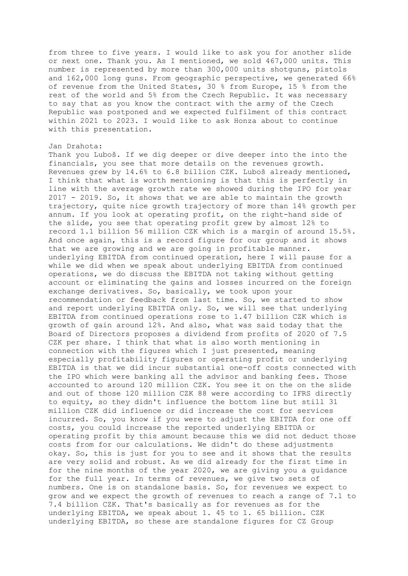from three to five years. I would like to ask you for another slide or next one. Thank you. As I mentioned, we sold 467,000 units. This number is represented by more than 300,000 units shotguns, pistols and 162,000 long guns. From geographic perspective, we generated 66% of revenue from the United States, 30 % from Europe, 15 % from the rest of the world and 5% from the Czech Republic. It was necessary to say that as you know the contract with the army of the Czech Republic was postponed and we expected fulfilment of this contract within 2021 to 2023. I would like to ask Honza about to continue with this presentation.

## Jan Drahota:

Thank you Luboš. If we dig deeper or dive deeper into the into the financials, you see that more details on the revenues growth. Revenues grew by 14.6% to 6.8 billion CZK. Luboš already mentioned, I think that what is worth mentioning is that this is perfectly in line with the average growth rate we showed during the IPO for year 2017 - 2019. So, it shows that we are able to maintain the growth trajectory, quite nice growth trajectory of more than 14% growth per annum. If you look at operating profit, on the right-hand side of the slide, you see that operating profit grew by almost 12% to record 1.1 billion 56 million CZK which is a margin of around 15.5%. And once again, this is a record figure for our group and it shows that we are growing and we are going in profitable manner. underlying EBITDA from continued operation, here I will pause for a while we did when we speak about underlying EBITDA from continued operations, we do discuss the EBITDA not taking without getting account or eliminating the gains and losses incurred on the foreign exchange derivatives. So, basically, we took upon your recommendation or feedback from last time. So, we started to show and report underlying EBITDA only. So, we will see that underlying EBITDA from continued operations rose to 1.47 billion CZK which is growth of gain around 12%. And also, what was said today that the Board of Directors proposes a dividend from profits of 2020 of 7.5 CZK per share. I think that what is also worth mentioning in connection with the figures which I just presented, meaning especially profitability figures or operating profit or underlying EBITDA is that we did incur substantial one-off costs connected with the IPO which were banking all the advisor and banking fees. Those accounted to around 120 million CZK. You see it on the on the slide and out of those 120 million CZK 88 were according to IFRS directly to equity, so they didn't influence the bottom line but still 31 million CZK did influence or did increase the cost for services incurred. So, you know if you were to adjust the EBITDA for one off costs, you could increase the reported underlying EBITDA or operating profit by this amount because this we did not deduct those costs from for our calculations. We didn't do these adjustments okay. So, this is just for you to see and it shows that the results are very solid and robust. As we did already for the first time in for the nine months of the year 2020, we are giving you a guidance for the full year. In terms of revenues, we give two sets of numbers. One is on standalone basis. So, for revenues we expect to grow and we expect the growth of revenues to reach a range of 7.1 to 7.4 billion CZK. That's basically as for revenues as for the underlying EBITDA, we speak about 1. 45 to 1. 65 billion. CZK underlying EBITDA, so these are standalone figures for CZ Group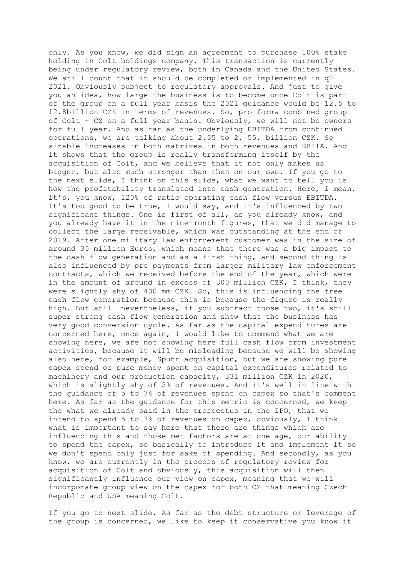only. As you know, we did sign an agreement to purchase 100% stake holding in Colt holdings company. This transaction is currently being under regulatory review, both in Canada and the United States. We still count that it should be completed or implemented in q2 2021. Obviously subject to regulatory approvals. And just to give you an idea, how large the business is to become once Colt is part of the group on a full year basis the 2021 guidance would be 12.5 to 12.8billion CZK in terms of revenues. So, pro-forma combined group of Colt + CZ on a full year basis. Obviously, we will not be owners for full year. And as far as the underlying EBITDA from continued operations, we are talking about 2.35 to 2. 55. billion CZK. So sizable increases in both matrixes in both revenues and EBITA. And it shows that the group is really transforming itself by the acquisition of Colt, and we believe that it not only makes us bigger, but also much stronger than then on our own. If you go to the next slide, I think on this slide, what we want to tell you is how the profitability translated into cash generation. Here, I mean, it's, you know, 120% of ratio operating cash flow versus EBITDA. It's too good to be true, I would say, and it's influenced by two significant things. One is first of all, as you already know, and you already have it in the nine-month figures, that we did manage to collect the large receivable, which was outstanding at the end of 2019. After one military law enforcement customer was in the size of around 35 million Euros, which means that there was a big impact to the cash flow generation and as a first thing, and second thing is also influenced by pre payments from larger military law enforcement contracts, which we received before the end of the year, which were in the amount of around in excess of 300 million CZK, I think, they were slightly shy of 400 mm CZK. So, this is influencing the free cash flow generation because this is because the figure is really high. But still nevertheless, if you subtract those two, it's still super strong cash flow generation and show that the business has very good conversion cycle. As far as the capital expenditures are concerned here, once again, I would like to commend what we are showing here, we are not showing here full cash flow from investment activities, because it will be misleading because we will be showing also here, for example, Spuhr acquisition, but we are showing pure capex spend or pure money spent on capital expenditures related to machinery and our production capacity, 331 million CZK in 2020, which is slightly shy of 5% of revenues. And it's well in line with the guidance of 5 to 7% of revenues spent on capex so that's comment here. As far as the guidance for this metric is concerned, we keep the what we already said in the prospectus in the IPO, that we intend to spend 5 to 7% of revenues on capex, obviously, I think what is important to say here that there are things which are influencing this and those met factors are at one age, our ability to spend the capex, so basically to introduce it and implement it so we don't spend only just for sake of spending. And secondly, as you know, we are currently in the process of regulatory review for acquisition of Colt and obviously, this acquisition will then significantly influence our view on capex, meaning that we will incorporate group view on the capex for both CZ that meaning Czech Republic and USA meaning Colt.

If you go to next slide. As far as the debt structure or leverage of the group is concerned, we like to keep it conservative you know it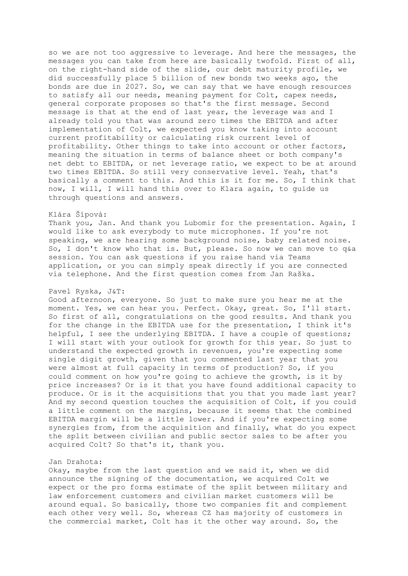so we are not too aggressive to leverage. And here the messages, the messages you can take from here are basically twofold. First of all, on the right-hand side of the slide, our debt maturity profile, we did successfully place 5 billion of new bonds two weeks ago, the bonds are due in 2027. So, we can say that we have enough resources to satisfy all our needs, meaning payment for Colt, capex needs, general corporate proposes so that's the first message. Second message is that at the end of last year, the leverage was and I already told you that was around zero times the EBITDA and after implementation of Colt, we expected you know taking into account current profitability or calculating risk current level of profitability. Other things to take into account or other factors, meaning the situation in terms of balance sheet or both company's net debt to EBITDA, or net leverage ratio, we expect to be at around two times EBITDA. So still very conservative level. Yeah, that's basically a comment to this. And this is it for me. So, I think that now, I will, I will hand this over to Klara again, to guide us through questions and answers.

## Klára Šípová:

Thank you, Jan. And thank you Lubomir for the presentation. Again, I would like to ask everybody to mute microphones. If you're not speaking, we are hearing some background noise, baby related noise. So, I don't know who that is. But, please. So now we can move to q&a session. You can ask questions if you raise hand via Teams application, or you can simply speak directly if you are connected via telephone. And the first question comes from Jan Raška.

### Pavel Ryska, J&T:

Good afternoon, everyone. So just to make sure you hear me at the moment. Yes, we can hear you. Perfect. Okay, great. So, I'll start. So first of all, congratulations on the good results. And thank you for the change in the EBITDA use for the presentation, I think it's helpful, I see the underlying EBITDA. I have a couple of questions; I will start with your outlook for growth for this year. So just to understand the expected growth in revenues, you're expecting some single digit growth, given that you commented last year that you were almost at full capacity in terms of production? So, if you could comment on how you're going to achieve the growth, is it by price increases? Or is it that you have found additional capacity to produce. Or is it the acquisitions that you that you made last year? And my second question touches the acquisition of Colt, if you could a little comment on the margins, because it seems that the combined EBITDA margin will be a little lower. And if you're expecting some synergies from, from the acquisition and finally, what do you expect the split between civilian and public sector sales to be after you acquired Colt? So that's it, thank you.

## Jan Drahota:

Okay, maybe from the last question and we said it, when we did announce the signing of the documentation, we acquired Colt we expect or the pro forma estimate of the split between military and law enforcement customers and civilian market customers will be around equal. So basically, those two companies fit and complement each other very well. So, whereas CZ has majority of customers in the commercial market, Colt has it the other way around. So, the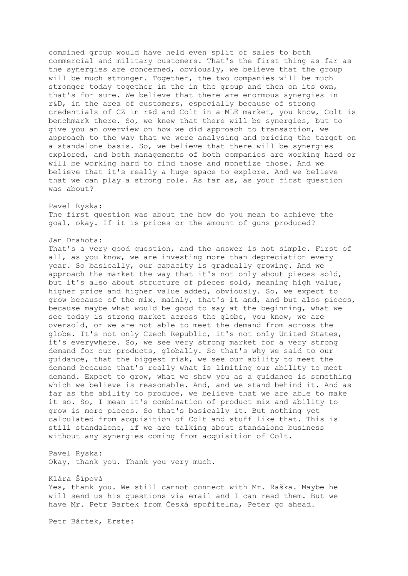combined group would have held even split of sales to both commercial and military customers. That's the first thing as far as the synergies are concerned, obviously, we believe that the group will be much stronger. Together, the two companies will be much stronger today together in the in the group and then on its own, that's for sure. We believe that there are enormous synergies in r&D, in the area of customers, especially because of strong credentials of CZ in r&d and Colt in a MLE market, you know, Colt is benchmark there. So, we knew that there will be synergies, but to give you an overview on how we did approach to transaction, we approach to the way that we were analysing and pricing the target on a standalone basis. So, we believe that there will be synergies explored, and both managements of both companies are working hard or will be working hard to find those and monetize those. And we believe that it's really a huge space to explore. And we believe that we can play a strong role. As far as, as your first question was about?

Pavel Ryska: The first question was about the how do you mean to achieve the goal, okay. If it is prices or the amount of guns produced?

## Jan Drahota:

That's a very good question, and the answer is not simple. First of all, as you know, we are investing more than depreciation every year. So basically, our capacity is gradually growing. And we approach the market the way that it's not only about pieces sold, but it's also about structure of pieces sold, meaning high value, higher price and higher value added, obviously. So, we expect to grow because of the mix, mainly, that's it and, and but also pieces, because maybe what would be good to say at the beginning, what we see today is strong market across the globe, you know, we are oversold, or we are not able to meet the demand from across the globe. It's not only Czech Republic, it's not only United States, it's everywhere. So, we see very strong market for a very strong demand for our products, globally. So that's why we said to our guidance, that the biggest risk, we see our ability to meet the demand because that's really what is limiting our ability to meet demand. Expect to grow, what we show you as a guidance is something which we believe is reasonable. And, and we stand behind it. And as far as the ability to produce, we believe that we are able to make it so. So, I mean it's combination of product mix and ability to grow is more pieces. So that's basically it. But nothing yet calculated from acquisition of Colt and stuff like that. This is still standalone, if we are talking about standalone business without any synergies coming from acquisition of Colt.

Pavel Ryska: Okay, thank you. Thank you very much.

Klára Šípová Yes, thank you. We still cannot connect with Mr. Raška. Maybe he will send us his questions via email and I can read them. But we have Mr. Petr Bartek from Česká spořitelna, Peter go ahead.

Petr Bártek, Erste: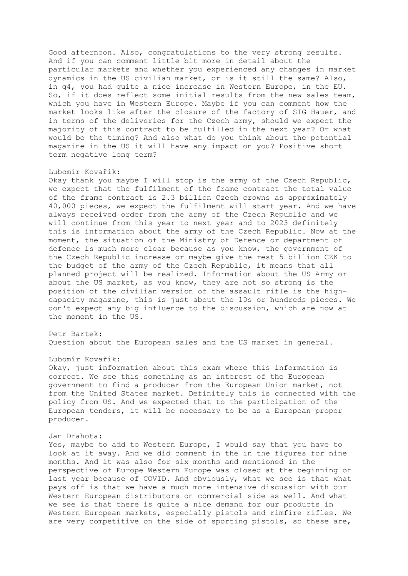Good afternoon. Also, congratulations to the very strong results. And if you can comment little bit more in detail about the particular markets and whether you experienced any changes in market dynamics in the US civilian market, or is it still the same? Also, in q4, you had quite a nice increase in Western Europe, in the EU. So, if it does reflect some initial results from the new sales team, which you have in Western Europe. Maybe if you can comment how the market looks like after the closure of the factory of SIG Hauer, and in terms of the deliveries for the Czech army, should we expect the majority of this contract to be fulfilled in the next year? Or what would be the timing? And also what do you think about the potential magazine in the US it will have any impact on you? Positive short term negative long term?

### Lubomír Kovařík:

Okay thank you maybe I will stop is the army of the Czech Republic, we expect that the fulfilment of the frame contract the total value of the frame contract is 2.3 billion Czech crowns as approximately 40,000 pieces, we expect the fulfilment will start year. And we have always received order from the army of the Czech Republic and we will continue from this year to next year and to 2023 definitely this is information about the army of the Czech Republic. Now at the moment, the situation of the Ministry of Defence or department of defence is much more clear because as you know, the government of the Czech Republic increase or maybe give the rest 5 billion CZK to the budget of the army of the Czech Republic, it means that all planned project will be realized. Information about the US Army or about the US market, as you know, they are not so strong is the position of the civilian version of the assault rifle is the highcapacity magazine, this is just about the 10s or hundreds pieces. We don't expect any big influence to the discussion, which are now at the moment in the US.

# Petr Bartek:

Question about the European sales and the US market in general.

### Lubomír Kovařík:

Okay, just information about this exam where this information is correct. We see this something as an interest of the European government to find a producer from the European Union market, not from the United States market. Definitely this is connected with the policy from US. And we expected that to the participation of the European tenders, it will be necessary to be as a European proper producer.

### Jan Drahota:

Yes, maybe to add to Western Europe, I would say that you have to look at it away. And we did comment in the in the figures for nine months. And it was also for six months and mentioned in the perspective of Europe Western Europe was closed at the beginning of last year because of COVID. And obviously, what we see is that what pays off is that we have a much more intensive discussion with our Western European distributors on commercial side as well. And what we see is that there is quite a nice demand for our products in Western European markets, especially pistols and rimfire rifles. We are very competitive on the side of sporting pistols, so these are,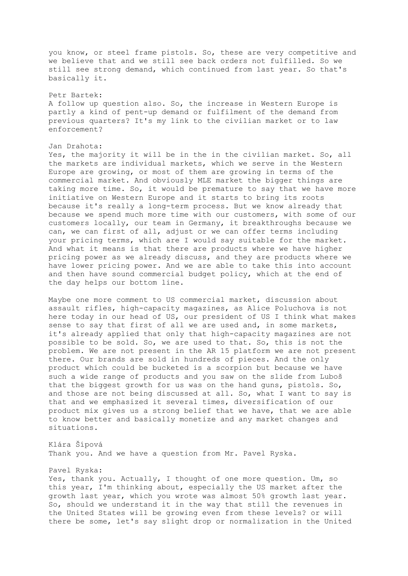you know, or steel frame pistols. So, these are very competitive and we believe that and we still see back orders not fulfilled. So we still see strong demand, which continued from last year. So that's basically it.

## Petr Bartek:

A follow up question also. So, the increase in Western Europe is partly a kind of pent-up demand or fulfilment of the demand from previous quarters? It's my link to the civilian market or to law enforcement?

## Jan Drahota:

Yes, the majority it will be in the in the civilian market. So, all the markets are individual markets, which we serve in the Western Europe are growing, or most of them are growing in terms of the commercial market. And obviously MLE market the bigger things are taking more time. So, it would be premature to say that we have more initiative on Western Europe and it starts to bring its roots because it's really a long-term process. But we know already that because we spend much more time with our customers, with some of our customers locally, our team in Germany, it breakthroughs because we can, we can first of all, adjust or we can offer terms including your pricing terms, which are I would say suitable for the market. And what it means is that there are products where we have higher pricing power as we already discuss, and they are products where we have lower pricing power. And we are able to take this into account and then have sound commercial budget policy, which at the end of the day helps our bottom line.

Maybe one more comment to US commercial market, discussion about assault rifles, high-capacity magazines, as Alice Poluchova is not here today in our head of US, our president of US I think what makes sense to say that first of all we are used and, in some markets, it's already applied that only that high-capacity magazines are not possible to be sold. So, we are used to that. So, this is not the problem. We are not present in the AR 15 platform we are not present there. Our brands are sold in hundreds of pieces. And the only product which could be bucketed is a scorpion but because we have such a wide range of products and you saw on the slide from Luboš that the biggest growth for us was on the hand guns, pistols. So, and those are not being discussed at all. So, what I want to say is that and we emphasized it several times, diversification of our product mix gives us a strong belief that we have, that we are able to know better and basically monetize and any market changes and situations.

Klára Šípová Thank you. And we have a question from Mr. Pavel Ryska.

# Pavel Ryska:

Yes, thank you. Actually, I thought of one more question. Um, so this year, I'm thinking about, especially the US market after the growth last year, which you wrote was almost 50% growth last year. So, should we understand it in the way that still the revenues in the United States will be growing even from these levels? or will there be some, let's say slight drop or normalization in the United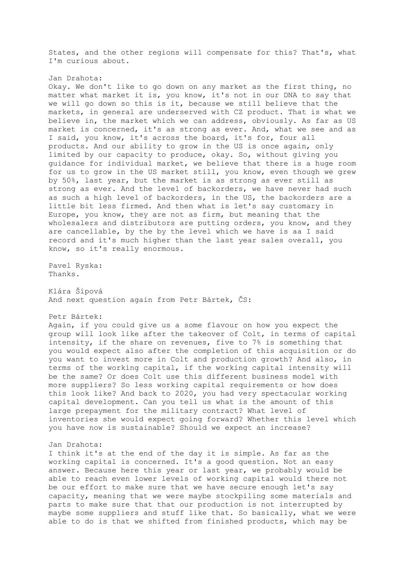States, and the other regions will compensate for this? That's, what I'm curious about.

#### Jan Drahota:

Okay. We don't like to go down on any market as the first thing, no matter what market it is, you know, it's not in our DNA to say that we will go down so this is it, because we still believe that the markets, in general are underserved with CZ product. That is what we believe in, the market which we can address, obviously. As far as US market is concerned, it's as strong as ever. And, what we see and as I said, you know, it's across the board, it's for, four all products. And our ability to grow in the US is once again, only limited by our capacity to produce, okay. So, without giving you guidance for individual market, we believe that there is a huge room for us to grow in the US market still, you know, even though we grew by 50%, last year, but the market is as strong as ever still as strong as ever. And the level of backorders, we have never had such as such a high level of backorders, in the US, the backorders are a little bit less firmed. And then what is let's say customary in Europe, you know, they are not as firm, but meaning that the wholesalers and distributors are putting orders, you know, and they are cancellable, by the by the level which we have is aa I said record and it's much higher than the last year sales overall, you know, so it's really enormous.

Pavel Ryska: Thanks.

Klára Šípová And next question again from Petr Bártek, ČS:

Petr Bártek:

Again, if you could give us a some flavour on how you expect the group will look like after the takeover of Colt, in terms of capital intensity, if the share on revenues, five to 7% is something that you would expect also after the completion of this acquisition or do you want to invest more in Colt and production growth? And also, in terms of the working capital, if the working capital intensity will be the same? Or does Colt use this different business model with more suppliers? So less working capital requirements or how does this look like? And back to 2020, you had very spectacular working capital development. Can you tell us what is the amount of this large prepayment for the military contract? What level of inventories she would expect going forward? Whether this level which you have now is sustainable? Should we expect an increase?

### Jan Drahota:

I think it's at the end of the day it is simple. As far as the working capital is concerned. It's a good question. Not an easy answer. Because here this year or last year, we probably would be able to reach even lower levels of working capital would there not be our effort to make sure that we have secure enough let's say capacity, meaning that we were maybe stockpiling some materials and parts to make sure that that our production is not interrupted by maybe some suppliers and stuff like that. So basically, what we were able to do is that we shifted from finished products, which may be